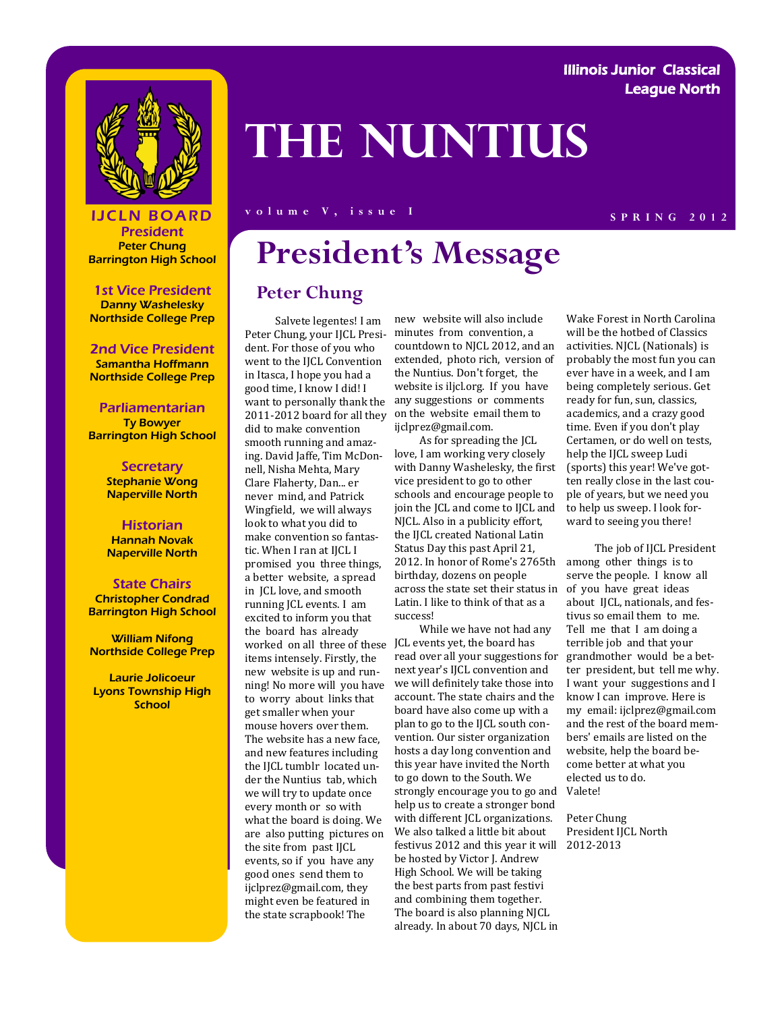#### Illinois Junior Classical League North



# **The Nuntius**

#### **S PRING 2012 S PRING 2012**

President Peter Chung Barrington High School

1st Vice President Danny Washelesky Northside College Prep

#### 2nd Vice President

Samantha Hoffmann Northside College Prep

Parliamentarian Ty Bowyer Barrington High School

> **Secretary** Stephanie Wong Naperville North

> **Historian** Hannah Novak Naperville North

State Chairs Christopher Condrad Barrington High School

William Nifong Northside College Prep

Laurie Jolicoeur Lyons Township High **School** 

## **President's Message**

#### **Peter Chung**

 Salvete legentes! I am Peter Chung, your IJCL President. For those of you who went to the IJCL Convention in Itasca, I hope you had a good time, I know I did! I want to personally thank the 2011-2012 board for all they did to make convention smooth running and amazing. David Jaffe, Tim McDonnell, Nisha Mehta, Mary Clare Flaherty, Dan... er never mind, and Patrick Wingfield, we will always look to what you did to make convention so fantastic. When I ran at IJCL I promised you three things, a better website, a spread in JCL love, and smooth running JCL events. I am excited to inform you that the board has already worked on all three of these items intensely. Firstly, the new website is up and running! No more will you have to worry about links that get smaller when your mouse hovers over them. The website has a new face, and new features including the IJCL tumblr located under the Nuntius tab, which we will try to update once every month or so with what the board is doing. We are also putting pictures on the site from past IJCL events, so if you have any good ones send them to ijclprez@gmail.com, they might even be featured in the state scrapbook! The

new website will also include minutes from convention, a countdown to NJCL 2012, and an extended, photo rich, version of the Nuntius. Don't forget, the website is iljcl.org. If you have any suggestions or comments on the website email them to ijclprez@gmail.com.

 As for spreading the JCL love, I am working very closely with Danny Washelesky, the first vice president to go to other schools and encourage people to join the JCL and come to IJCL and NJCL. Also in a publicity effort, the IJCL created National Latin Status Day this past April 21, 2012. In honor of Rome's 2765th birthday, dozens on people across the state set their status in Latin. I like to think of that as a success!

strongly encourage you to go and Valete! 2012-2013 festivus 2012 and this year it will While we have not had any JCL events yet, the board has read over all your suggestions for next year's IJCL convention and we will definitely take those into account. The state chairs and the board have also come up with a plan to go to the IJCL south convention. Our sister organization hosts a day long convention and this year have invited the North to go down to the South. We help us to create a stronger bond with different JCL organizations. We also talked a little bit about be hosted by Victor J. Andrew High School. We will be taking the best parts from past festivi and combining them together. The board is also planning NJCL already. In about 70 days, NJCL in

Wake Forest in North Carolina will be the hotbed of Classics activities. NJCL (Nationals) is probably the most fun you can ever have in a week, and I am being completely serious. Get ready for fun, sun, classics, academics, and a crazy good time. Even if you don't play Certamen, or do well on tests, help the IJCL sweep Ludi (sports) this year! We've gotten really close in the last couple of years, but we need you to help us sweep. I look forward to seeing you there!

 The job of IJCL President among other things is to serve the people. I know all of you have great ideas about IJCL, nationals, and festivus so email them to me. Tell me that I am doing a terrible job and that your grandmother would be a better president, but tell me why. I want your suggestions and I know I can improve. Here is my email: ijclprez@gmail.com and the rest of the board members' emails are listed on the website, help the board become better at what you elected us to do.

Peter Chung President IJCL North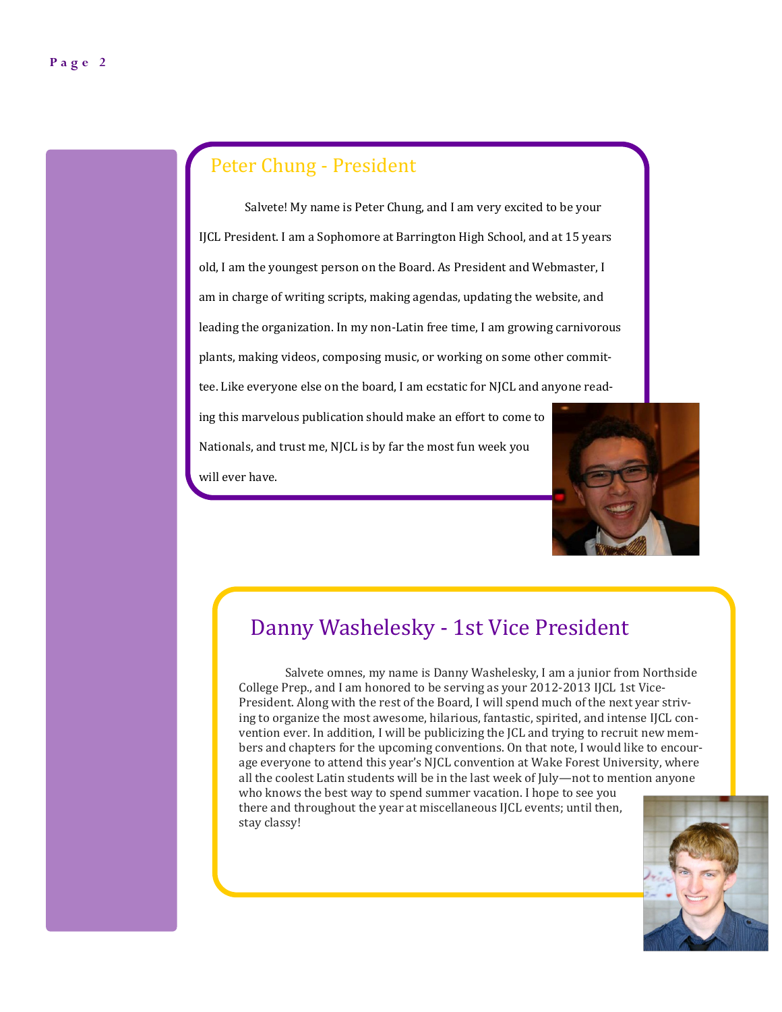### Peter Chung - President

Salvete! My name is Peter Chung, and I am very excited to be your IJCL President. I am a Sophomore at Barrington High School, and at 15 years old, I am the youngest person on the Board. As President and Webmaster, I am in charge of writing scripts, making agendas, updating the website, and leading the organization. In my non-Latin free time, I am growing carnivorous plants, making videos, composing music, or working on some other committee. Like everyone else on the board, I am ecstatic for NJCL and anyone reading this marvelous publication should make an effort to come to Nationals, and trust me, NJCL is by far the most fun week you will ever have.



### Danny Washelesky - 1st Vice President

Salvete omnes, my name is Danny Washelesky, I am a junior from Northside College Prep., and I am honored to be serving as your 2012-2013 IJCL 1st Vice-President. Along with the rest of the Board, I will spend much of the next year striving to organize the most awesome, hilarious, fantastic, spirited, and intense IJCL convention ever. In addition, I will be publicizing the JCL and trying to recruit new members and chapters for the upcoming conventions. On that note, I would like to encourage everyone to attend this year's NJCL convention at Wake Forest University, where all the coolest Latin students will be in the last week of July—not to mention anyone who knows the best way to spend summer vacation. I hope to see you there and throughout the year at miscellaneous IJCL events; until then, stay classy!

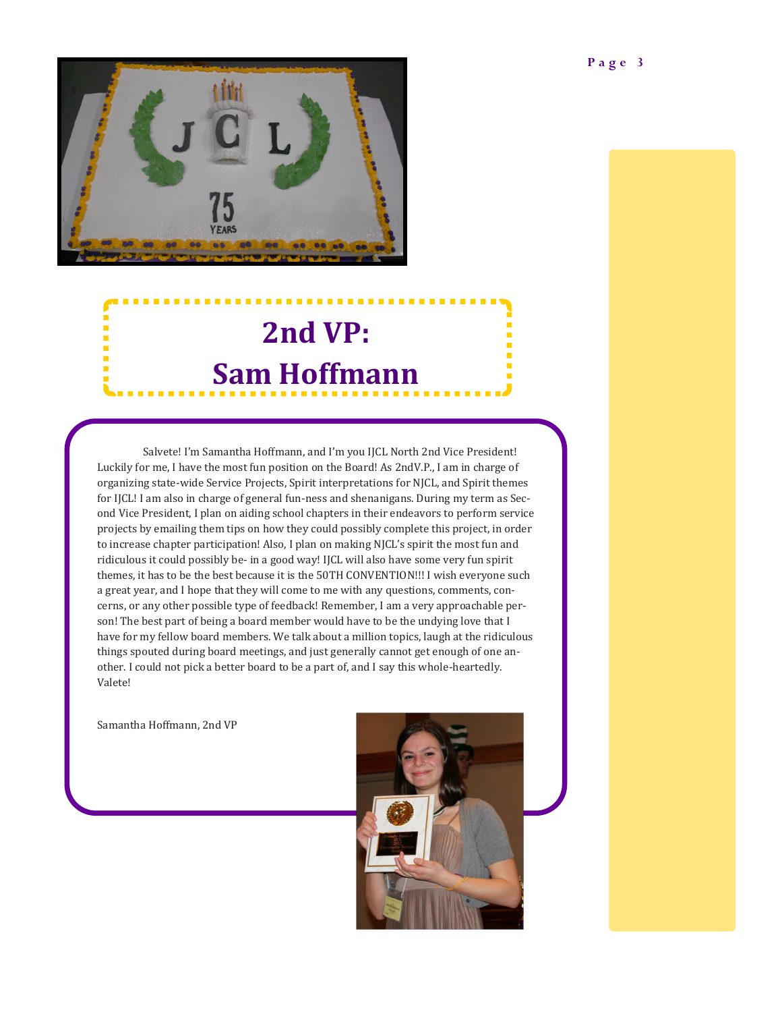

## **2nd VP: Sam Hoffmann**

Salvete! I'm Samantha Hoffmann, and I'm you IJCL North 2nd Vice President! Luckily for me, I have the most fun position on the Board! As 2ndV.P., I am in charge of organizing state-wide Service Projects, Spirit interpretations for NJCL, and Spirit themes for IJCL! I am also in charge of general fun-ness and shenanigans. During my term as Second Vice President, I plan on aiding school chapters in their endeavors to perform service projects by emailing them tips on how they could possibly complete this project, in order to increase chapter participation! Also, I plan on making NJCL's spirit the most fun and ridiculous it could possibly be- in a good way! IJCL will also have some very fun spirit themes, it has to be the best because it is the 50TH CONVENTION!!! I wish everyone such a great year, and I hope that they will come to me with any questions, comments, concerns, or any other possible type of feedback! Remember, I am a very approachable person! The best part of being a board member would have to be the undying love that I have for my fellow board members. We talk about a million topics, laugh at the ridiculous things spouted during board meetings, and just generally cannot get enough of one another. I could not pick a better board to be a part of, and I say this whole-heartedly. Valete!

Samantha Hoffmann, 2nd VP

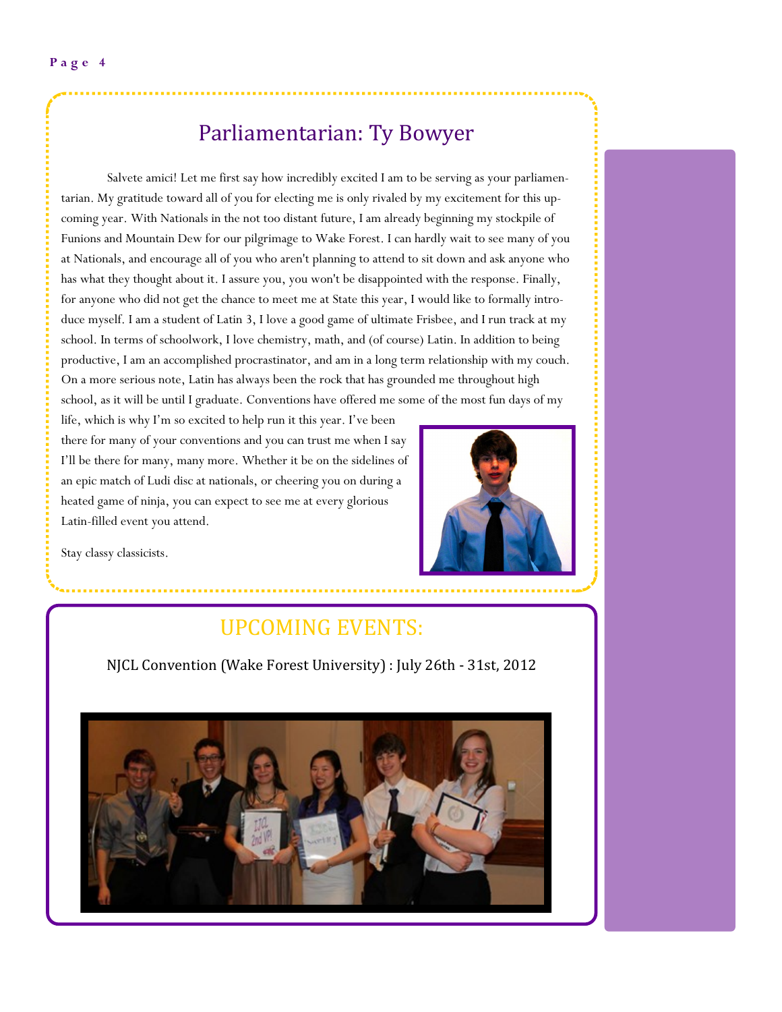### Parliamentarian: Ty Bowyer

Salvete amici! Let me first say how incredibly excited I am to be serving as your parliamentarian. My gratitude toward all of you for electing me is only rivaled by my excitement for this upcoming year. With Nationals in the not too distant future, I am already beginning my stockpile of Funions and Mountain Dew for our pilgrimage to Wake Forest. I can hardly wait to see many of you at Nationals, and encourage all of you who aren't planning to attend to sit down and ask anyone who has what they thought about it. I assure you, you won't be disappointed with the response. Finally, for anyone who did not get the chance to meet me at State this year, I would like to formally introduce myself. I am a student of Latin 3, I love a good game of ultimate Frisbee, and I run track at my school. In terms of schoolwork, I love chemistry, math, and (of course) Latin. In addition to being productive, I am an accomplished procrastinator, and am in a long term relationship with my couch. On a more serious note, Latin has always been the rock that has grounded me throughout high school, as it will be until I graduate. Conventions have offered me some of the most fun days of my

life, which is why I'm so excited to help run it this year. I've been there for many of your conventions and you can trust me when I say I'll be there for many, many more. Whether it be on the sidelines of an epic match of Ludi disc at nationals, or cheering you on during a heated game of ninja, you can expect to see me at every glorious Latin-filled event you attend.



Stay classy classicists.

## UPCOMING EVENTS:

NJCL Convention (Wake Forest University) : July 26th - 31st, 2012